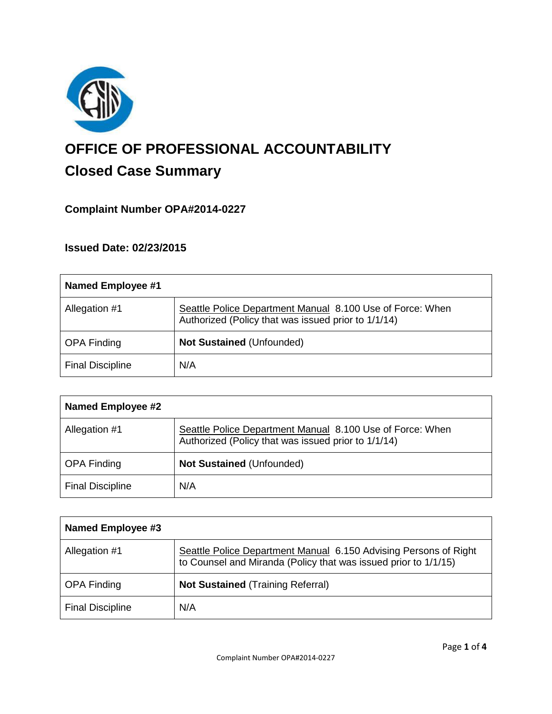

# **OFFICE OF PROFESSIONAL ACCOUNTABILITY Closed Case Summary**

# **Complaint Number OPA#2014-0227**

## **Issued Date: 02/23/2015**

| <b>Named Employee #1</b> |                                                                                                                  |
|--------------------------|------------------------------------------------------------------------------------------------------------------|
| Allegation #1            | Seattle Police Department Manual 8.100 Use of Force: When<br>Authorized (Policy that was issued prior to 1/1/14) |
| <b>OPA Finding</b>       | <b>Not Sustained (Unfounded)</b>                                                                                 |
| <b>Final Discipline</b>  | N/A                                                                                                              |

| <b>Named Employee #2</b> |                                                                                                                  |
|--------------------------|------------------------------------------------------------------------------------------------------------------|
| Allegation #1            | Seattle Police Department Manual 8.100 Use of Force: When<br>Authorized (Policy that was issued prior to 1/1/14) |
| <b>OPA Finding</b>       | <b>Not Sustained (Unfounded)</b>                                                                                 |
| <b>Final Discipline</b>  | N/A                                                                                                              |

| Named Employee #3       |                                                                                                                                     |
|-------------------------|-------------------------------------------------------------------------------------------------------------------------------------|
| Allegation #1           | Seattle Police Department Manual 6.150 Advising Persons of Right<br>to Counsel and Miranda (Policy that was issued prior to 1/1/15) |
| <b>OPA Finding</b>      | <b>Not Sustained (Training Referral)</b>                                                                                            |
| <b>Final Discipline</b> | N/A                                                                                                                                 |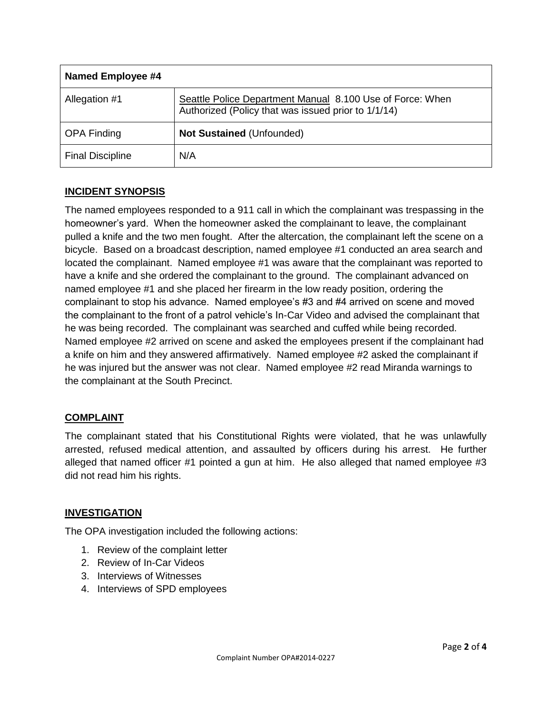| Named Employee #4       |                                                                                                                  |
|-------------------------|------------------------------------------------------------------------------------------------------------------|
| Allegation #1           | Seattle Police Department Manual 8.100 Use of Force: When<br>Authorized (Policy that was issued prior to 1/1/14) |
| <b>OPA Finding</b>      | <b>Not Sustained (Unfounded)</b>                                                                                 |
| <b>Final Discipline</b> | N/A                                                                                                              |

## **INCIDENT SYNOPSIS**

The named employees responded to a 911 call in which the complainant was trespassing in the homeowner's yard. When the homeowner asked the complainant to leave, the complainant pulled a knife and the two men fought. After the altercation, the complainant left the scene on a bicycle. Based on a broadcast description, named employee #1 conducted an area search and located the complainant. Named employee #1 was aware that the complainant was reported to have a knife and she ordered the complainant to the ground. The complainant advanced on named employee #1 and she placed her firearm in the low ready position, ordering the complainant to stop his advance. Named employee's #3 and #4 arrived on scene and moved the complainant to the front of a patrol vehicle's In-Car Video and advised the complainant that he was being recorded. The complainant was searched and cuffed while being recorded. Named employee #2 arrived on scene and asked the employees present if the complainant had a knife on him and they answered affirmatively. Named employee #2 asked the complainant if he was injured but the answer was not clear. Named employee #2 read Miranda warnings to the complainant at the South Precinct.

## **COMPLAINT**

The complainant stated that his Constitutional Rights were violated, that he was unlawfully arrested, refused medical attention, and assaulted by officers during his arrest. He further alleged that named officer #1 pointed a gun at him. He also alleged that named employee #3 did not read him his rights.

## **INVESTIGATION**

The OPA investigation included the following actions:

- 1. Review of the complaint letter
- 2. Review of In-Car Videos
- 3. Interviews of Witnesses
- 4. Interviews of SPD employees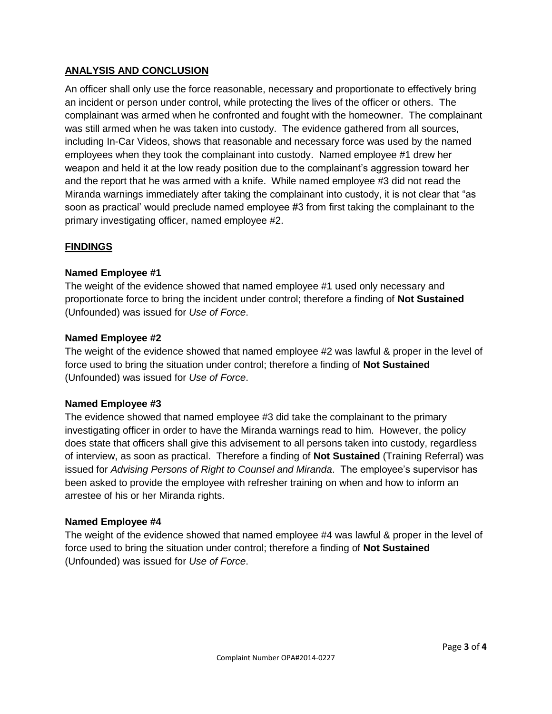## **ANALYSIS AND CONCLUSION**

An officer shall only use the force reasonable, necessary and proportionate to effectively bring an incident or person under control, while protecting the lives of the officer or others. The complainant was armed when he confronted and fought with the homeowner. The complainant was still armed when he was taken into custody. The evidence gathered from all sources, including In-Car Videos, shows that reasonable and necessary force was used by the named employees when they took the complainant into custody. Named employee #1 drew her weapon and held it at the low ready position due to the complainant's aggression toward her and the report that he was armed with a knife. While named employee #3 did not read the Miranda warnings immediately after taking the complainant into custody, it is not clear that "as soon as practical' would preclude named employee #3 from first taking the complainant to the primary investigating officer, named employee #2.

## **FINDINGS**

## **Named Employee #1**

The weight of the evidence showed that named employee #1 used only necessary and proportionate force to bring the incident under control; therefore a finding of **Not Sustained** (Unfounded) was issued for *Use of Force*.

#### **Named Employee #2**

The weight of the evidence showed that named employee #2 was lawful & proper in the level of force used to bring the situation under control; therefore a finding of **Not Sustained** (Unfounded) was issued for *Use of Force*.

## **Named Employee #3**

The evidence showed that named employee #3 did take the complainant to the primary investigating officer in order to have the Miranda warnings read to him. However, the policy does state that officers shall give this advisement to all persons taken into custody, regardless of interview, as soon as practical. Therefore a finding of **Not Sustained** (Training Referral) was issued for *Advising Persons of Right to Counsel and Miranda*. The employee's supervisor has been asked to provide the employee with refresher training on when and how to inform an arrestee of his or her Miranda rights.

#### **Named Employee #4**

The weight of the evidence showed that named employee #4 was lawful & proper in the level of force used to bring the situation under control; therefore a finding of **Not Sustained** (Unfounded) was issued for *Use of Force*.